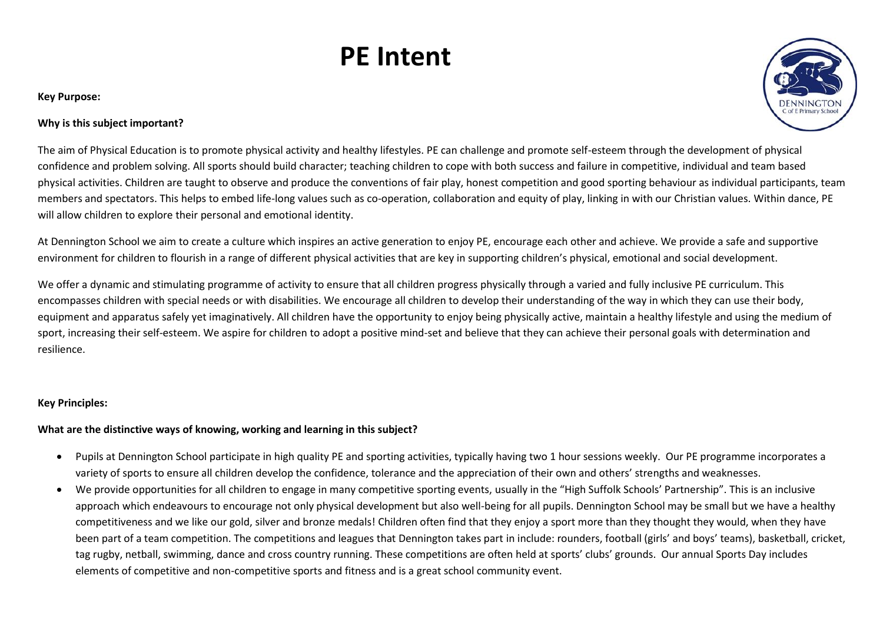# **PE Intent**

#### **Key Purpose:**



## **Why is this subject important?**

The aim of Physical Education is to promote physical activity and healthy lifestyles. PE can challenge and promote self-esteem through the development of physical confidence and problem solving. All sports should build character; teaching children to cope with both success and failure in competitive, individual and team based physical activities. Children are taught to observe and produce the conventions of fair play, honest competition and good sporting behaviour as individual participants, team members and spectators. This helps to embed life-long values such as co-operation, collaboration and equity of play, linking in with our Christian values. Within dance, PE will allow children to explore their personal and emotional identity.

At Dennington School we aim to create a culture which inspires an active generation to enjoy PE, encourage each other and achieve. We provide a safe and supportive environment for children to flourish in a range of different physical activities that are key in supporting children's physical, emotional and social development.

We offer a dynamic and stimulating programme of activity to ensure that all children progress physically through a varied and fully inclusive PE curriculum. This encompasses children with special needs or with disabilities. We encourage all children to develop their understanding of the way in which they can use their body, equipment and apparatus safely yet imaginatively. All children have the opportunity to enjoy being physically active, maintain a healthy lifestyle and using the medium of sport, increasing their self-esteem. We aspire for children to adopt a positive mind-set and believe that they can achieve their personal goals with determination and resilience.

## **Key Principles:**

## **What are the distinctive ways of knowing, working and learning in this subject?**

- Pupils at Dennington School participate in high quality PE and sporting activities, typically having two 1 hour sessions weekly. Our PE programme incorporates a variety of sports to ensure all children develop the confidence, tolerance and the appreciation of their own and others' strengths and weaknesses.
- We provide opportunities for all children to engage in many competitive sporting events, usually in the "High Suffolk Schools' Partnership". This is an inclusive approach which endeavours to encourage not only physical development but also well-being for all pupils. Dennington School may be small but we have a healthy competitiveness and we like our gold, silver and bronze medals! Children often find that they enjoy a sport more than they thought they would, when they have been part of a team competition. The competitions and leagues that Dennington takes part in include: rounders, football (girls' and boys' teams), basketball, cricket, tag rugby, netball, swimming, dance and cross country running. These competitions are often held at sports' clubs' grounds. Our annual Sports Day includes elements of competitive and non-competitive sports and fitness and is a great school community event.